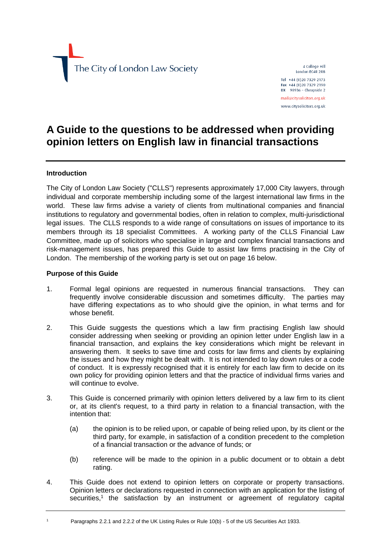The City of London Law Society

4 College Hill London EC4R 2RB Tel +44 (0)20 7329 2173 Fax +44 (0)20 7329 2190

 $DX$  98936 - Cheapside 2 mail@citysolicitors.org.uk

www.citysolicitors.org.uk

# **A Guide to the questions to be addressed when providing opinion letters on English law in financial transactions**

# **Introduction**

The City of London Law Society ("CLLS") represents approximately 17,000 City lawyers, through individual and corporate membership including some of the largest international law firms in the world. These law firms advise a variety of clients from multinational companies and financial institutions to regulatory and governmental bodies, often in relation to complex, multi-jurisdictional legal issues. The CLLS responds to a wide range of consultations on issues of importance to its members through its 18 specialist Committees. A working party of the CLLS Financial Law Committee, made up of solicitors who specialise in large and complex financial transactions and risk-management issues, has prepared this Guide to assist law firms practising in the City of London. The membership of the working party is set out on page 16 below.

#### **Purpose of this Guide**

- 1. Formal legal opinions are requested in numerous financial transactions. They can frequently involve considerable discussion and sometimes difficulty. The parties may have differing expectations as to who should give the opinion, in what terms and for whose benefit.
- 2. This Guide suggests the questions which a law firm practising English law should consider addressing when seeking or providing an opinion letter under English law in a financial transaction, and explains the key considerations which might be relevant in answering them. It seeks to save time and costs for law firms and clients by explaining the issues and how they might be dealt with. It is not intended to lay down rules or a code of conduct. It is expressly recognised that it is entirely for each law firm to decide on its own policy for providing opinion letters and that the practice of individual firms varies and will continue to evolve.
- 3. This Guide is concerned primarily with opinion letters delivered by a law firm to its client or, at its client's request, to a third party in relation to a financial transaction, with the intention that:
	- (a) the opinion is to be relied upon, or capable of being relied upon, by its client or the third party, for example, in satisfaction of a condition precedent to the completion of a financial transaction or the advance of funds; or
	- (b) reference will be made to the opinion in a public document or to obtain a debt rating.
- 4. This Guide does not extend to opinion letters on corporate or property transactions. Opinion letters or declarations requested in connection with an application for the listing of securities,<sup>1</sup>the satisfaction by an instrument or agreement of regulatory capital

<span id="page-0-0"></span><sup>1</sup> Paragraphs 2.2.1 and 2.2.2 of the UK Listing Rules or Rule 10(b) - 5 of the US Securities Act 1933.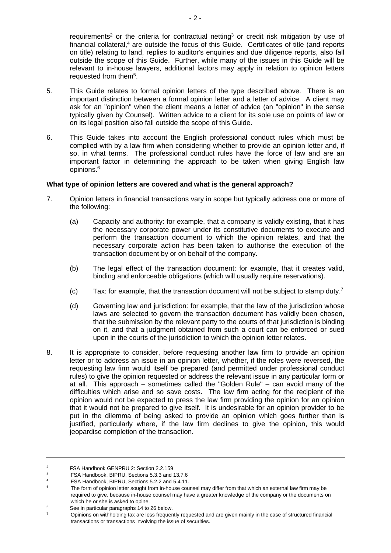requirements<sup>[2](#page-1-0)</sup> or the criteria for contractual netting<sup>[3](#page-1-1)</sup> or credit risk mitigation by use of financial collateral,<sup>[4](#page-1-2)</sup> are outside the focus of this Guide. Certificates of title (and reports on title) relating to land, replies to auditor's enquiries and due diligence reports, also fall outside the scope of this Guide. Further, while many of the issues in this Guide will be relevant to in-house lawyers, additional factors may apply in relation to opinion letters requested from them<sup>[5](#page-1-3)</sup>.

- 5. This Guide relates to formal opinion letters of the type described above. There is an important distinction between a formal opinion letter and a letter of advice. A client may ask for an "opinion" when the client means a letter of advice (an "opinion" in the sense typically given by Counsel). Written advice to a client for its sole use on points of law or on its legal position also fall outside the scope of this Guide.
- 6. This Guide takes into account the English professional conduct rules which must be complied with by a law firm when considering whether to provide an opinion letter and, if so, in what terms. The professional conduct rules have the force of law and are an important factor in determining the approach to be taken when giving English law opinions.[6](#page-1-4)

#### **What type of opinion letters are covered and what is the general approach?**

- 7. Opinion letters in financial transactions vary in scope but typically address one or more of the following:
	- (a) Capacity and authority: for example, that a company is validly existing, that it has the necessary corporate power under its constitutive documents to execute and perform the transaction document to which the opinion relates, and that the necessary corporate action has been taken to authorise the execution of the transaction document by or on behalf of the company.
	- (b) The legal effect of the transaction document: for example, that it creates valid, binding and enforceable obligations (which will usually require reservations).
	- (c) Tax: for example, that the transaction document will not be subject to stamp duty.<sup>[7](#page-1-5)</sup>
	- (d) Governing law and jurisdiction: for example, that the law of the jurisdiction whose laws are selected to govern the transaction document has validly been chosen, that the submission by the relevant party to the courts of that jurisdiction is binding on it, and that a judgment obtained from such a court can be enforced or sued upon in the courts of the jurisdiction to which the opinion letter relates.
- <span id="page-1-6"></span>8. It is appropriate to consider, before requesting another law firm to provide an opinion letter or to address an issue in an opinion letter, whether, if the roles were reversed, the requesting law firm would itself be prepared (and permitted under professional conduct rules) to give the opinion requested or address the relevant issue in any particular form or at all. This approach – sometimes called the "Golden Rule" – can avoid many of the difficulties which arise and so save costs. The law firm acting for the recipient of the opinion would not be expected to press the law firm providing the opinion for an opinion that it would not be prepared to give itself. It is undesirable for an opinion provider to be put in the dilemma of being asked to provide an opinion which goes further than is justified, particularly where, if the law firm declines to give the opinion, this would jeopardise completion of the transaction.

<span id="page-1-1"></span><span id="page-1-0"></span><sup>&</sup>lt;sup>2</sup> FSA Handbook GENPRU 2: Section 2.2.159

<span id="page-1-2"></span><sup>&</sup>lt;sup>3</sup> FSA Handbook, BIPRU, Sections 5.3.3 and 13.7.6

<span id="page-1-3"></span><sup>&</sup>lt;sup>4</sup> FSA Handbook, BIPRU, Sections 5.2.2 and 5.4.11.

The form of opinion letter sought from in-house counsel may differ from that which an external law firm may be required to give, because in-house counsel may have a greater knowledge of the company or the documents on which he or she is asked to opine.

<span id="page-1-5"></span><span id="page-1-4"></span><sup>&</sup>lt;sup>6</sup> See in particular paragraphs 14 to 26 below.

<sup>7</sup> Opinions on withholding tax are less frequently requested and are given mainly in the case of structured financial transactions or transactions involving the issue of securities.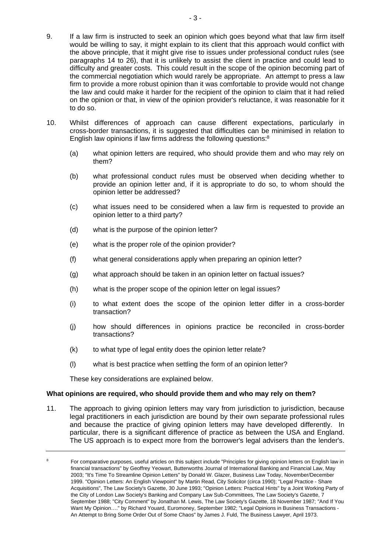- 9. If a law firm is instructed to seek an opinion which goes beyond what that law firm itself would be willing to say, it might explain to its client that this approach would conflict with the above principle, that it might give rise to issues under professional conduct rules (see paragraphs [14](#page-3-0) to 26), that it is unlikely to assist the client in practice and could lead to difficulty and greater costs. This could result in the scope of the opinion becoming part of the commercial negotiation which would rarely be appropriate. An attempt to press a law firm to provide a more robust opinion than it was comfortable to provide would not change the law and could make it harder for the recipient of the opinion to claim that it had relied on the opinion or that, in view of the opinion provider's reluctance, it was reasonable for it to do so.
- 10. Whilst differences of approach can cause different expectations, particularly in cross-border transactions, it is suggested that difficulties can be minimised in relation to English law opinions if law firms address the following questions:[8](#page-2-0)
	- (a) what opinion letters are required, who should provide them and who may rely on them?
	- (b) what professional conduct rules must be observed when deciding whether to provide an opinion letter and, if it is appropriate to do so, to whom should the opinion letter be addressed?
	- (c) what issues need to be considered when a law firm is requested to provide an opinion letter to a third party?
	- (d) what is the purpose of the opinion letter?
	- (e) what is the proper role of the opinion provider?
	- (f) what general considerations apply when preparing an opinion letter?
	- (g) what approach should be taken in an opinion letter on factual issues?
	- (h) what is the proper scope of the opinion letter on legal issues?
	- (i) to what extent does the scope of the opinion letter differ in a cross-border transaction?
	- (j) how should differences in opinions practice be reconciled in cross-border transactions?
	- $(k)$  to what type of legal entity does the opinion letter relate?
	- (l) what is best practice when settling the form of an opinion letter?

These key considerations are explained below.

#### **What opinions are required, who should provide them and who may rely on them?**

11. The approach to giving opinion letters may vary from jurisdiction to jurisdiction, because legal practitioners in each jurisdiction are bound by their own separate professional rules and because the practice of giving opinion letters may have developed differently. In particular, there is a significant difference of practice as between the USA and England. The US approach is to expect more from the borrower's legal advisers than the lender's.

<span id="page-2-0"></span><sup>&</sup>lt;sup>8</sup> For comparative purposes, useful articles on this subject include "Principles for giving opinion letters on English law in financial transactions" by Geoffrey Yeowart, Butterworths Journal of International Banking and Financial Law, May 2003; "It's Time To Streamline Opinion Letters" by Donald W. Glazer, Business Law Today, November/December 1999. "Opinion Letters: An English Viewpoint" by Martin Read, City Solicitor (circa 1990); "Legal Practice - Share Acquisitions", The Law Society's Gazette, 30 June 1993; "Opinion Letters: Practical Hints" by a Joint Working Party of the City of London Law Society's Banking and Company Law Sub-Committees, The Law Society's Gazette, 7 September 1988; "City Comment" by Jonathan M. Lewis, The Law Society's Gazette, 18 November 1987; "And If You Want My Opinion…." by Richard Youard, Euromoney, September 1982; "Legal Opinions in Business Transactions - An Attempt to Bring Some Order Out of Some Chaos" by James J. Fuld, The Business Lawyer, April 1973.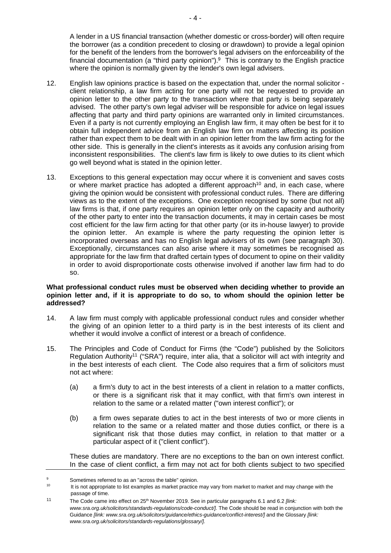A lender in a US financial transaction (whether domestic or cross-border) will often require the borrower (as a condition precedent to closing or drawdown) to provide a legal opinion for the benefit of the lenders from the borrower's legal advisers on the enforceability of the financial documentation (a "third party opinion"). $9$  This is contrary to the English practice where the opinion is normally given by the lender's own legal advisers.

- 12. English law opinions practice is based on the expectation that, under the normal solicitor client relationship, a law firm acting for one party will not be requested to provide an opinion letter to the other party to the transaction where that party is being separately advised. The other party's own legal adviser will be responsible for advice on legal issues affecting that party and third party opinions are warranted only in limited circumstances. Even if a party is not currently employing an English law firm, it may often be best for it to obtain full independent advice from an English law firm on matters affecting its position rather than expect them to be dealt with in an opinion letter from the law firm acting for the other side. This is generally in the client's interests as it avoids any confusion arising from inconsistent responsibilities. The client's law firm is likely to owe duties to its client which go well beyond what is stated in the opinion letter.
- 13. Exceptions to this general expectation may occur where it is convenient and saves costs or where market practice has adopted a different approach<sup>[10](#page-3-2)</sup> and, in each case, where giving the opinion would be consistent with professional conduct rules. There are differing views as to the extent of the exceptions. One exception recognised by some (but not all) law firms is that, if one party requires an opinion letter only on the capacity and authority of the other party to enter into the transaction documents, it may in certain cases be most cost efficient for the law firm acting for that other party (or its in-house lawyer) to provide the opinion letter. An example is where the party requesting the opinion letter is incorporated overseas and has no English legal advisers of its own (see paragraph 30). Exceptionally, circumstances can also arise where it may sometimes be recognised as appropriate for the law firm that drafted certain types of document to opine on their validity in order to avoid disproportionate costs otherwise involved if another law firm had to do so.

### **What professional conduct rules must be observed when deciding whether to provide an opinion letter and, if it is appropriate to do so, to whom should the opinion letter be addressed?**

- <span id="page-3-0"></span>14. A law firm must comply with applicable professional conduct rules and consider whether the giving of an opinion letter to a third party is in the best interests of its client and whether it would involve a conflict of interest or a breach of confidence.
- 15. The Principles and Code of Conduct for Firms (the "Code") published by the Solicitors Regulation Authority<sup>[11](#page-3-3)</sup> ("SRA") require, inter alia, that a solicitor will act with integrity and in the best interests of each client. The Code also requires that a firm of solicitors must not act where:
	- (a) a firm's duty to act in the best interests of a client in relation to a matter conflicts, or there is a significant risk that it may conflict, with that firm's own interest in relation to the same or a related matter ("own interest conflict"); or
	- (b) a firm owes separate duties to act in the best interests of two or more clients in relation to the same or a related matter and those duties conflict, or there is a significant risk that those duties may conflict, in relation to that matter or a particular aspect of it ("client conflict").

These duties are mandatory. There are no exceptions to the ban on own interest conflict. In the case of client conflict, a firm may not act for both clients subject to two specified

<span id="page-3-2"></span><span id="page-3-1"></span><sup>&</sup>lt;sup>9</sup><br>Sometimes referred to as an "across the table" opinion.<br><sup>10</sup>

It is not appropriate to list examples as market practice may vary from market to market and may change with the passage of time.

<span id="page-3-3"></span><sup>11</sup> The Code came into effect on 25th November 2019. See in particular paragraphs 6.1 and 6.2 *[link: www.sra.org.uk/solicitors/standards-regulations/code-conduct/].* The Code should be read in conjunction with both the Guidance *[link: www.sra.org.uk/solicitors/guidance/ethics-guidance/conflict-interest/]* and the Glossary *[link: www.sra.org.uk/solicitors/standards-regulations/glossary/].*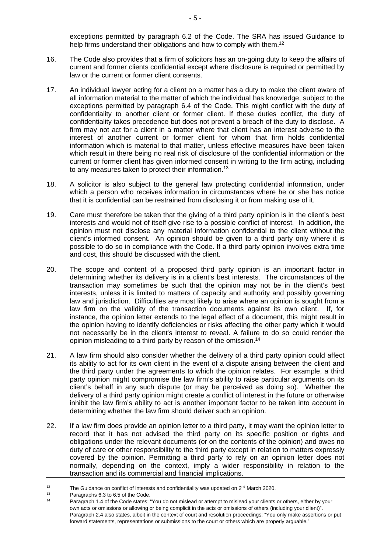exceptions permitted by paragraph 6.2 of the Code. The SRA has issued Guidance to help firms understand their obligations and how to comply with them.<sup>[12](#page-4-0)</sup>

- 16. The Code also provides that a firm of solicitors has an on-going duty to keep the affairs of current and former clients confidential except where disclosure is required or permitted by law or the current or former client consents.
- 17. An individual lawyer acting for a client on a matter has a duty to make the client aware of all information material to the matter of which the individual has knowledge, subject to the exceptions permitted by paragraph 6.4 of the Code. This might conflict with the duty of confidentiality to another client or former client. If these duties conflict, the duty of confidentiality takes precedence but does not prevent a breach of the duty to disclose. A firm may not act for a client in a matter where that client has an interest adverse to the interest of another current or former client for whom that firm holds confidential information which is material to that matter, unless effective measures have been taken which result in there being no real risk of disclosure of the confidential information or the current or former client has given informed consent in writing to the firm acting, including to any measures taken to protect their information.<sup>[13](#page-4-1)</sup>
- 18. A solicitor is also subject to the general law protecting confidential information, under which a person who receives information in circumstances where he or she has notice that it is confidential can be restrained from disclosing it or from making use of it.
- 19. Care must therefore be taken that the giving of a third party opinion is in the client's best interests and would not of itself give rise to a possible conflict of interest. In addition, the opinion must not disclose any material information confidential to the client without the client's informed consent. An opinion should be given to a third party only where it is possible to do so in compliance with the Code. If a third party opinion involves extra time and cost, this should be discussed with the client.
- <span id="page-4-3"></span>20. The scope and content of a proposed third party opinion is an important factor in determining whether its delivery is in a client's best interests. The circumstances of the transaction may sometimes be such that the opinion may not be in the client's best interests, unless it is limited to matters of capacity and authority and possibly governing law and jurisdiction. Difficulties are most likely to arise where an opinion is sought from a law firm on the validity of the transaction documents against its own client. If, for instance, the opinion letter extends to the legal effect of a document, this might result in the opinion having to identify deficiencies or risks affecting the other party which it would not necessarily be in the client's interest to reveal. A failure to do so could render the opinion misleading to a third party by reason of the omission.[14](#page-4-2)
- 21. A law firm should also consider whether the delivery of a third party opinion could affect its ability to act for its own client in the event of a dispute arising between the client and the third party under the agreements to which the opinion relates. For example, a third party opinion might compromise the law firm's ability to raise particular arguments on its client's behalf in any such dispute (or may be perceived as doing so). Whether the delivery of a third party opinion might create a conflict of interest in the future or otherwise inhibit the law firm's ability to act is another important factor to be taken into account in determining whether the law firm should deliver such an opinion.
- 22. If a law firm does provide an opinion letter to a third party, it may want the opinion letter to record that it has not advised the third party on its specific position or rights and obligations under the relevant documents (or on the contents of the opinion) and owes no duty of care or other responsibility to the third party except in relation to matters expressly covered by the opinion. Permitting a third party to rely on an opinion letter does not normally, depending on the context, imply a wider responsibility in relation to the transaction and its commercial and financial implications.

<span id="page-4-1"></span><span id="page-4-0"></span><sup>&</sup>lt;sup>12</sup> The Guidance on conflict of interests and confidentiality was updated on  $2^{nd}$  March 2020.

<span id="page-4-2"></span><sup>&</sup>lt;sup>13</sup> Paragraphs 6.3 to 6.5 of the Code.<br><sup>14</sup> Paragraph 4.4 of the Code states:

Paragraph 1.4 of the Code states: "You do not mislead or attempt to mislead your clients or others, either by your own acts or omissions or allowing or being complicit in the acts or omissions of others (including your client)". Paragraph 2.4 also states, albeit in the context of court and resolution proceedings: "You only make assertions or put forward statements, representations or submissions to the court or others which are properly arguable."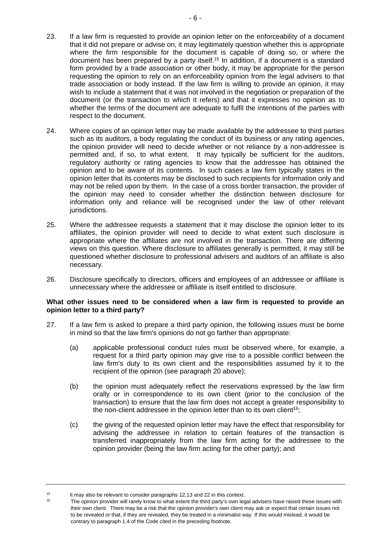- 23. If a law firm is requested to provide an opinion letter on the enforceability of a document that it did not prepare or advise on, it may legitimately question whether this is appropriate where the firm responsible for the document is capable of doing so, or where the document has been prepared by a party itself.[15](#page-5-0) In addition, if a document is a standard form provided by a trade association or other body, it may be appropriate for the person requesting the opinion to rely on an enforceability opinion from the legal advisers to that trade association or body instead. If the law firm is willing to provide an opinion, it may wish to include a statement that it was not involved in the negotiation or preparation of the document (or the transaction to which it refers) and that it expresses no opinion as to whether the terms of the document are adequate to fulfil the intentions of the parties with respect to the document.
- 24. Where copies of an opinion letter may be made available by the addressee to third parties such as its auditors, a body regulating the conduct of its business or any rating agencies, the opinion provider will need to decide whether or not reliance by a non-addressee is permitted and, if so, to what extent. It may typically be sufficient for the auditors, regulatory authority or rating agencies to know that the addressee has obtained the opinion and to be aware of its contents. In such cases a law firm typically states in the opinion letter that its contents may be disclosed to such recipients for information only and may not be relied upon by them. In the case of a cross border transaction, the provider of the opinion may need to consider whether the distinction between disclosure for information only and reliance will be recognised under the law of other relevant jurisdictions.
- 25. Where the addressee requests a statement that it may disclose the opinion letter to its affiliates, the opinion provider will need to decide to what extent such disclosure is appropriate where the affiliates are not involved in the transaction. There are differing views on this question. Where disclosure to affiliates generally is permitted, it may still be questioned whether disclosure to professional advisers and auditors of an affiliate is also necessary.
- 26. Disclosure specifically to directors, officers and employees of an addressee or affiliate is unnecessary where the addressee or affiliate is itself entitled to disclosure.

#### **What other issues need to be considered when a law firm is requested to provide an opinion letter to a third party?**

- 27. If a law firm is asked to prepare a third party opinion, the following issues must be borne in mind so that the law firm's opinions do not go farther than appropriate:
	- (a) applicable professional conduct rules must be observed where, for example, a request for a third party opinion may give rise to a possible conflict between the law firm's duty to its own client and the responsibilities assumed by it to the recipient of the opinion (see paragraph [20](#page-4-3) above);
	- (b) the opinion must adequately reflect the reservations expressed by the law firm orally or in correspondence to its own client (prior to the conclusion of the transaction) to ensure that the law firm does not accept a greater responsibility to the non-client addressee in the opinion letter than to its own client<sup>[16](#page-5-1)</sup>;
	- (c) the giving of the requested opinion letter may have the effect that responsibility for advising the addressee in relation to certain features of the transaction is transferred inappropriately from the law firm acting for the addressee to the opinion provider (being the law firm acting for the other party); and

<span id="page-5-0"></span><sup>&</sup>lt;sup>15</sup> It may also be relevant to consider paragraphs 12,13 and 22 in this context.

<span id="page-5-1"></span>The opinion provider will rarely know to what extent the third party's own legal advisers have raised these issues with their own client. There may be a risk that the opinion provider's own client may ask or expect that certain issues not to be revealed or that, if they are revealed, they be treated in a minimalist way. If this would mislead, it would be contrary to paragraph 1.4 of the Code cited in the preceding footnote.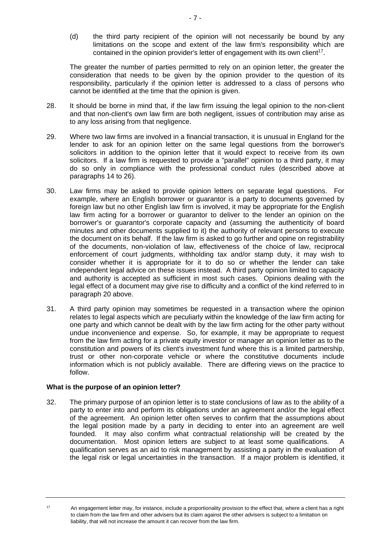(d) the third party recipient of the opinion will not necessarily be bound by any limitations on the scope and extent of the law firm's responsibility which are contained in the opinion provider's letter of engagement with its own client<sup>[17](#page-6-0)</sup>.

The greater the number of parties permitted to rely on an opinion letter, the greater the consideration that needs to be given by the opinion provider to the question of its responsibility, particularly if the opinion letter is addressed to a class of persons who cannot be identified at the time that the opinion is given.

- 28. It should be borne in mind that, if the law firm issuing the legal opinion to the non-client and that non-client's own law firm are both negligent, issues of contribution may arise as to any loss arising from that negligence.
- 29. Where two law firms are involved in a financial transaction, it is unusual in England for the lender to ask for an opinion letter on the same legal questions from the borrower's solicitors in addition to the opinion letter that it would expect to receive from its own solicitors. If a law firm is requested to provide a "parallel" opinion to a third party, it may do so only in compliance with the professional conduct rules (described above at paragraphs [14](#page-3-0) to 26).
- 30. Law firms may be asked to provide opinion letters on separate legal questions. For example, where an English borrower or guarantor is a party to documents governed by foreign law but no other English law firm is involved, it may be appropriate for the English law firm acting for a borrower or guarantor to deliver to the lender an opinion on the borrower's or guarantor's corporate capacity and (assuming the authenticity of board minutes and other documents supplied to it) the authority of relevant persons to execute the document on its behalf. If the law firm is asked to go further and opine on registrability of the documents, non-violation of law, effectiveness of the choice of law, reciprocal enforcement of court judgments, withholding tax and/or stamp duty, it may wish to consider whether it is appropriate for it to do so or whether the lender can take independent legal advice on these issues instead. A third party opinion limited to capacity and authority is accepted as sufficient in most such cases. Opinions dealing with the legal effect of a document may give rise to difficulty and a conflict of the kind referred to in paragraph [20](#page-4-3) above.
- 31. A third party opinion may sometimes be requested in a transaction where the opinion relates to legal aspects which are peculiarly within the knowledge of the law firm acting for one party and which cannot be dealt with by the law firm acting for the other party without undue inconvenience and expense. So, for example, it may be appropriate to request from the law firm acting for a private equity investor or manager an opinion letter as to the constitution and powers of its client's investment fund where this is a limited partnership, trust or other non-corporate vehicle or where the constitutive documents include information which is not publicly available. There are differing views on the practice to follow.

#### **What is the purpose of an opinion letter?**

32. The primary purpose of an opinion letter is to state conclusions of law as to the ability of a party to enter into and perform its obligations under an agreement and/or the legal effect of the agreement. An opinion letter often serves to confirm that the assumptions about the legal position made by a party in deciding to enter into an agreement are well founded. It may also confirm what contractual relationship will be created by the documentation. Most opinion letters are subject to at least some qualifications. A qualification serves as an aid to risk management by assisting a party in the evaluation of the legal risk or legal uncertainties in the transaction. If a major problem is identified, it

<span id="page-6-0"></span><sup>&</sup>lt;sup>17</sup> An engagement letter may, for instance, include a proportionality provision to the effect that, where a client has a right to claim from the law firm and other advisers but its claim against the other advisers is subject to a limitation on liability, that will not increase the amount it can recover from the law firm.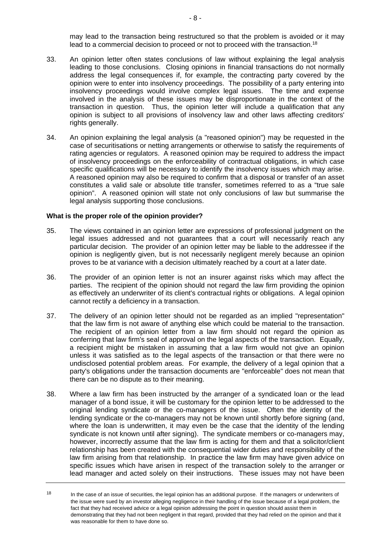<span id="page-7-1"></span>may lead to the transaction being restructured so that the problem is avoided or it may lead to a commercial decision to proceed or not to proceed with the transaction.<sup>[18](#page-7-0)</sup>

- 33. An opinion letter often states conclusions of law without explaining the legal analysis leading to those conclusions. Closing opinions in financial transactions do not normally address the legal consequences if, for example, the contracting party covered by the opinion were to enter into insolvency proceedings. The possibility of a party entering into insolvency proceedings would involve complex legal issues. The time and expense involved in the analysis of these issues may be disproportionate in the context of the transaction in question. Thus, the opinion letter will include a qualification that any opinion is subject to all provisions of insolvency law and other laws affecting creditors' rights generally.
- 34. An opinion explaining the legal analysis (a "reasoned opinion") may be requested in the case of securitisations or netting arrangements or otherwise to satisfy the requirements of rating agencies or regulators. A reasoned opinion may be required to address the impact of insolvency proceedings on the enforceability of contractual obligations, in which case specific qualifications will be necessary to identify the insolvency issues which may arise. A reasoned opinion may also be required to confirm that a disposal or transfer of an asset constitutes a valid sale or absolute title transfer, sometimes referred to as a "true sale opinion". A reasoned opinion will state not only conclusions of law but summarise the legal analysis supporting those conclusions.

#### **What is the proper role of the opinion provider?**

- 35. The views contained in an opinion letter are expressions of professional judgment on the legal issues addressed and not guarantees that a court will necessarily reach any particular decision. The provider of an opinion letter may be liable to the addressee if the opinion is negligently given, but is not necessarily negligent merely because an opinion proves to be at variance with a decision ultimately reached by a court at a later date.
- 36. The provider of an opinion letter is not an insurer against risks which may affect the parties. The recipient of the opinion should not regard the law firm providing the opinion as effectively an underwriter of its client's contractual rights or obligations. A legal opinion cannot rectify a deficiency in a transaction.
- 37. The delivery of an opinion letter should not be regarded as an implied "representation" that the law firm is not aware of anything else which could be material to the transaction. The recipient of an opinion letter from a law firm should not regard the opinion as conferring that law firm's seal of approval on the legal aspects of the transaction. Equally, a recipient might be mistaken in assuming that a law firm would not give an opinion unless it was satisfied as to the legal aspects of the transaction or that there were no undisclosed potential problem areas. For example, the delivery of a legal opinion that a party's obligations under the transaction documents are "enforceable" does not mean that there can be no dispute as to their meaning.
- 38. Where a law firm has been instructed by the arranger of a syndicated loan or the lead manager of a bond issue, it will be customary for the opinion letter to be addressed to the original lending syndicate or the co-managers of the issue. Often the identity of the lending syndicate or the co-managers may not be known until shortly before signing (and, where the loan is underwritten, it may even be the case that the identity of the lending syndicate is not known until after signing). The syndicate members or co-managers may, however, incorrectly assume that the law firm is acting for them and that a solicitor/client relationship has been created with the consequential wider duties and responsibility of the law firm arising from that relationship. In practice the law firm may have given advice on specific issues which have arisen in respect of the transaction solely to the arranger or lead manager and acted solely on their instructions. These issues may not have been

<span id="page-7-0"></span> $18$  In the case of an issue of securities, the legal opinion has an additional purpose. If the managers or underwriters of the issue were sued by an investor alleging negligence in their handling of the issue because of a legal problem, the fact that they had received advice or a legal opinion addressing the point in question should assist them in demonstrating that they had not been negligent in that regard, provided that they had relied on the opinion and that it was reasonable for them to have done so.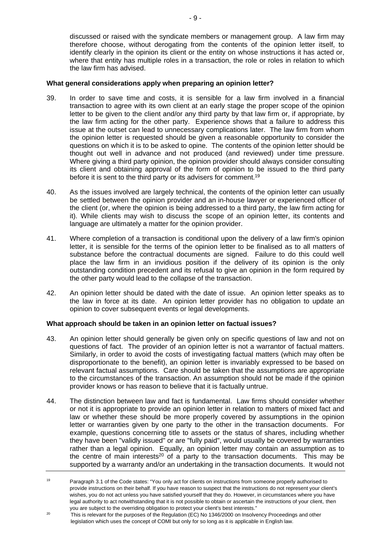discussed or raised with the syndicate members or management group. A law firm may therefore choose, without derogating from the contents of the opinion letter itself, to identify clearly in the opinion its client or the entity on whose instructions it has acted or, where that entity has multiple roles in a transaction, the role or roles in relation to which the law firm has advised.

#### **What general considerations apply when preparing an opinion letter?**

- 39. In order to save time and costs, it is sensible for a law firm involved in a financial transaction to agree with its own client at an early stage the proper scope of the opinion letter to be given to the client and/or any third party by that law firm or, if appropriate, by the law firm acting for the other party. Experience shows that a failure to address this issue at the outset can lead to unnecessary complications later. The law firm from whom the opinion letter is requested should be given a reasonable opportunity to consider the questions on which it is to be asked to opine. The contents of the opinion letter should be thought out well in advance and not produced (and reviewed) under time pressure. Where giving a third party opinion, the opinion provider should always consider consulting its client and obtaining approval of the form of opinion to be issued to the third party before it is sent to the third party or its advisers for comment.[19](#page-8-0)
- 40. As the issues involved are largely technical, the contents of the opinion letter can usually be settled between the opinion provider and an in-house lawyer or experienced officer of the client (or, where the opinion is being addressed to a third party, the law firm acting for it). While clients may wish to discuss the scope of an opinion letter, its contents and language are ultimately a matter for the opinion provider.
- 41. Where completion of a transaction is conditional upon the delivery of a law firm's opinion letter, it is sensible for the terms of the opinion letter to be finalised as to all matters of substance before the contractual documents are signed. Failure to do this could well place the law firm in an invidious position if the delivery of its opinion is the only outstanding condition precedent and its refusal to give an opinion in the form required by the other party would lead to the collapse of the transaction.
- 42. An opinion letter should be dated with the date of issue. An opinion letter speaks as to the law in force at its date. An opinion letter provider has no obligation to update an opinion to cover subsequent events or legal developments.

# **What approach should be taken in an opinion letter on factual issues?**

- 43. An opinion letter should generally be given only on specific questions of law and not on questions of fact. The provider of an opinion letter is not a warrantor of factual matters. Similarly, in order to avoid the costs of investigating factual matters (which may often be disproportionate to the benefit), an opinion letter is invariably expressed to be based on relevant factual assumptions. Care should be taken that the assumptions are appropriate to the circumstances of the transaction. An assumption should not be made if the opinion provider knows or has reason to believe that it is factually untrue.
- 44. The distinction between law and fact is fundamental. Law firms should consider whether or not it is appropriate to provide an opinion letter in relation to matters of mixed fact and law or whether these should be more properly covered by assumptions in the opinion letter or warranties given by one party to the other in the transaction documents. For example, questions concerning title to assets or the status of shares, including whether they have been "validly issued" or are "fully paid", would usually be covered by warranties rather than a legal opinion. Equally, an opinion letter may contain an assumption as to the centre of main interests<sup>[20](#page-8-1)</sup> of a party to the transaction documents. This may be supported by a warranty and/or an undertaking in the transaction documents. It would not

<span id="page-8-0"></span><sup>19</sup> Paragraph 3.1 of the Code states: "You only act for clients on instructions from someone properly authorised to provide instructions on their behalf. If you have reason to suspect that the instructions do not represent your client's wishes, you do not act unless you have satisfied yourself that they do. However, in circumstances where you have legal authority to act notwithstanding that it is not possible to obtain or ascertain the instructions of your client, then you are subject to the overriding obligation to protect your client's best interests."

<span id="page-8-1"></span><sup>&</sup>lt;sup>20</sup> This is relevant for the purposes of the Regulation (EC) No 1346/2000 on Insolvency Proceedings and other legislation which uses the concept of COMI but only for so long as it is applicable in English law.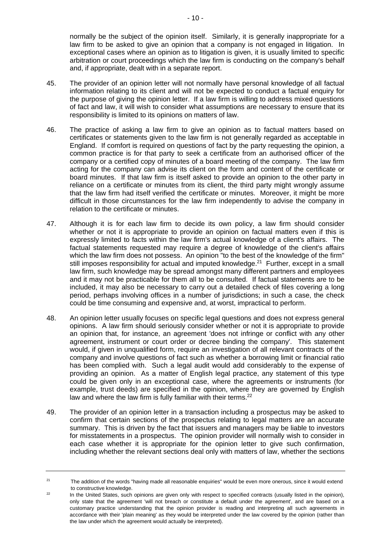normally be the subject of the opinion itself. Similarly, it is generally inappropriate for a law firm to be asked to give an opinion that a company is not engaged in litigation. In exceptional cases where an opinion as to litigation is given, it is usually limited to specific arbitration or court proceedings which the law firm is conducting on the company's behalf and, if appropriate, dealt with in a separate report.

- 45. The provider of an opinion letter will not normally have personal knowledge of all factual information relating to its client and will not be expected to conduct a factual enquiry for the purpose of giving the opinion letter. If a law firm is willing to address mixed questions of fact and law, it will wish to consider what assumptions are necessary to ensure that its responsibility is limited to its opinions on matters of law.
- 46. The practice of asking a law firm to give an opinion as to factual matters based on certificates or statements given to the law firm is not generally regarded as acceptable in England. If comfort is required on questions of fact by the party requesting the opinion, a common practice is for that party to seek a certificate from an authorised officer of the company or a certified copy of minutes of a board meeting of the company. The law firm acting for the company can advise its client on the form and content of the certificate or board minutes. If that law firm is itself asked to provide an opinion to the other party in reliance on a certificate or minutes from its client, the third party might wrongly assume that the law firm had itself verified the certificate or minutes. Moreover, it might be more difficult in those circumstances for the law firm independently to advise the company in relation to the certificate or minutes.
- 47. Although it is for each law firm to decide its own policy, a law firm should consider whether or not it is appropriate to provide an opinion on factual matters even if this is expressly limited to facts within the law firm's actual knowledge of a client's affairs. The factual statements requested may require a degree of knowledge of the client's affairs which the law firm does not possess. An opinion "to the best of the knowledge of the firm" still imposes responsibility for actual and imputed knowledge.<sup>[21](#page-9-0)</sup> Further, except in a small law firm, such knowledge may be spread amongst many different partners and employees and it may not be practicable for them all to be consulted. If factual statements are to be included, it may also be necessary to carry out a detailed check of files covering a long period, perhaps involving offices in a number of jurisdictions; in such a case, the check could be time consuming and expensive and, at worst, impractical to perform.
- 48. An opinion letter usually focuses on specific legal questions and does not express general opinions. A law firm should seriously consider whether or not it is appropriate to provide an opinion that, for instance, an agreement 'does not infringe or conflict with any other agreement, instrument or court order or decree binding the company'. This statement would, if given in unqualified form, require an investigation of all relevant contracts of the company and involve questions of fact such as whether a borrowing limit or financial ratio has been complied with. Such a legal audit would add considerably to the expense of providing an opinion. As a matter of English legal practice, any statement of this type could be given only in an exceptional case, where the agreements or instruments (for example, trust deeds) are specified in the opinion, where they are governed by English law and where the law firm is fully familiar with their terms.<sup>[22](#page-9-1)</sup>
- 49. The provider of an opinion letter in a transaction including a prospectus may be asked to confirm that certain sections of the prospectus relating to legal matters are an accurate summary. This is driven by the fact that issuers and managers may be liable to investors for misstatements in a prospectus. The opinion provider will normally wish to consider in each case whether it is appropriate for the opinion letter to give such confirmation, including whether the relevant sections deal only with matters of law, whether the sections

<span id="page-9-0"></span><sup>&</sup>lt;sup>21</sup> The addition of the words "having made all reasonable enquiries" would be even more onerous, since it would extend to constructive knowledge.

<span id="page-9-1"></span><sup>&</sup>lt;sup>22</sup> In the United States, such opinions are given only with respect to specified contracts (usually listed in the opinion), only state that the agreement 'will not breach or constitute a default under the agreement', and are based on a customary practice understanding that the opinion provider is reading and interpreting all such agreements in accordance with their 'plain meaning' as they would be interpreted under the law covered by the opinion (rather than the law under which the agreement would actually be interpreted).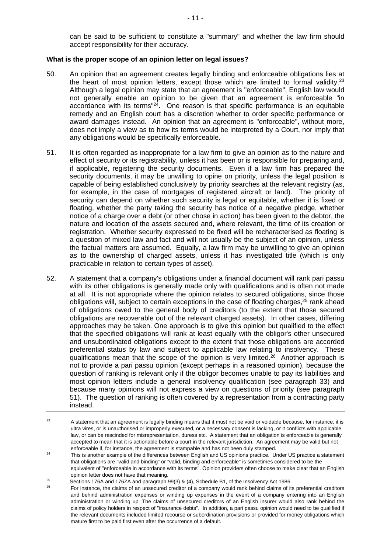can be said to be sufficient to constitute a "summary" and whether the law firm should accept responsibility for their accuracy.

#### **What is the proper scope of an opinion letter on legal issues?**

- 50. An opinion that an agreement creates legally binding and enforceable obligations lies at the heart of most opinion letters, except those which are limited to formal validity.<sup>[23](#page-10-1)</sup> Although a legal opinion may state that an agreement is "enforceable", English law would not generally enable an opinion to be given that an agreement is enforceable "in accordance with its terms"[24](#page-10-2). One reason is that specific performance is an equitable remedy and an English court has a discretion whether to order specific performance or award damages instead. An opinion that an agreement is "enforceable", without more, does not imply a view as to how its terms would be interpreted by a Court, nor imply that any obligations would be specifically enforceable.
- <span id="page-10-0"></span>51. It is often regarded as inappropriate for a law firm to give an opinion as to the nature and effect of security or its registrability, unless it has been or is responsible for preparing and, if applicable, registering the security documents. Even if a law firm has prepared the security documents, it may be unwilling to opine on priority, unless the legal position is capable of being established conclusively by priority searches at the relevant registry (as, for example, in the case of mortgages of registered aircraft or land). The priority of security can depend on whether such security is legal or equitable, whether it is fixed or floating, whether the party taking the security has notice of a negative pledge, whether notice of a charge over a debt (or other chose in action) has been given to the debtor, the nature and location of the assets secured and, where relevant, the time of its creation or registration. Whether security expressed to be fixed will be recharacterised as floating is a question of mixed law and fact and will not usually be the subject of an opinion, unless the factual matters are assumed. Equally, a law firm may be unwilling to give an opinion as to the ownership of charged assets, unless it has investigated title (which is only practicable in relation to certain types of asset).
- 52. A statement that a company's obligations under a financial document will rank pari passu with its other obligations is generally made only with qualifications and is often not made at all. It is not appropriate where the opinion relates to secured obligations, since those obligations will, subject to certain exceptions in the case of floating charges.<sup>[25](#page-10-3)</sup> rank ahead of obligations owed to the general body of creditors (to the extent that those secured obligations are recoverable out of the relevant charged assets). In other cases, differing approaches may be taken. One approach is to give this opinion but qualified to the effect that the specified obligations will rank at least equally with the obligor's other unsecured and unsubordinated obligations except to the extent that those obligations are accorded preferential status by law and subject to applicable law relating to insolvency. These qualifications mean that the scope of the opinion is very limited.<sup>[26](#page-10-4)</sup> Another approach is not to provide a pari passu opinion (except perhaps in a reasoned opinion), because the question of ranking is relevant only if the obligor becomes unable to pay its liabilities and most opinion letters include a general insolvency qualification (see paragraph [33\)](#page-7-1) and because many opinions will not express a view on questions of priority (see paragraph [51\)](#page-10-0). The question of ranking is often covered by a representation from a contracting party instead.

<span id="page-10-1"></span><sup>&</sup>lt;sup>23</sup> A statement that an agreement is legally binding means that it must not be void or voidable because, for instance, it is ultra vires, or is unauthorised or improperly executed, or a necessary consent is lacking, or it conflicts with applicable law, or can be rescinded for misrepresentation, duress etc. A statement that an obligation is enforceable is generally accepted to mean that it is actionable before a court in the relevant jurisdiction. An agreement may be valid but not enforceable if, for instance, the agreement is stampable and has not been duly stamped.

<span id="page-10-2"></span><sup>&</sup>lt;sup>24</sup> This is another example of the differences between English and US opinions practice. Under US practice a statement that obligations are "valid and binding" or "valid, binding and enforceable" is sometimes considered to be the equivalent of "enforceable in accordance with its terms". Opinion providers often choose to make clear that an English opinion letter does not have that meaning.

<span id="page-10-3"></span><sup>&</sup>lt;sup>25</sup> Sections 176A and 176ZA and paragraph  $99(3)$  & (4), Schedule B1, of the Insolvency Act 1986.

<span id="page-10-4"></span><sup>26</sup> For instance, the claims of an unsecured creditor of a company would rank behind claims of its preferential creditors and behind administration expenses or winding up expenses in the event of a company entering into an English administration or winding up. The claims of unsecured creditors of an English insurer would also rank behind the claims of policy holders in respect of "insurance debts". In addition, a pari passu opinion would need to be qualified if the relevant documents included limited recourse or subordination provisions or provided for money obligations which mature first to be paid first even after the occurrence of a default.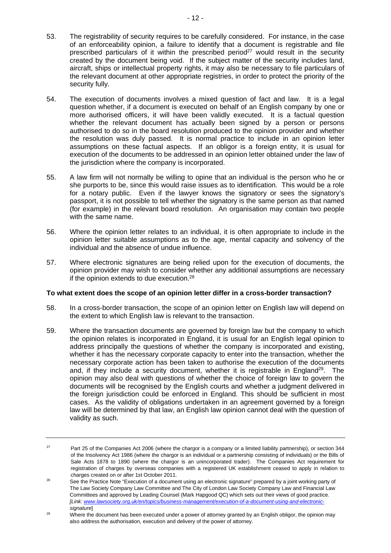- 53. The registrability of security requires to be carefully considered. For instance, in the case of an enforceability opinion, a failure to identify that a document is registrable and file prescribed particulars of it within the prescribed period<sup>[27](#page-11-0)</sup> would result in the security created by the document being void. If the subject matter of the security includes land, aircraft, ships or intellectual property rights, it may also be necessary to file particulars of the relevant document at other appropriate registries, in order to protect the priority of the security fully.
- 54. The execution of documents involves a mixed question of fact and law. It is a legal question whether, if a document is executed on behalf of an English company by one or more authorised officers, it will have been validly executed. It is a factual question whether the relevant document has actually been signed by a person or persons authorised to do so in the board resolution produced to the opinion provider and whether the resolution was duly passed. It is normal practice to include in an opinion letter assumptions on these factual aspects. If an obligor is a foreign entity, it is usual for execution of the documents to be addressed in an opinion letter obtained under the law of the jurisdiction where the company is incorporated.
- 55. A law firm will not normally be willing to opine that an individual is the person who he or she purports to be, since this would raise issues as to identification. This would be a role for a notary public. Even if the lawyer knows the signatory or sees the signatory's passport, it is not possible to tell whether the signatory is the same person as that named (for example) in the relevant board resolution. An organisation may contain two people with the same name.
- 56. Where the opinion letter relates to an individual, it is often appropriate to include in the opinion letter suitable assumptions as to the age, mental capacity and solvency of the individual and the absence of undue influence.
- 57. Where electronic signatures are being relied upon for the execution of documents, the opinion provider may wish to consider whether any additional assumptions are necessary if the opinion extends to due execution.[28](#page-11-1)

#### **To what extent does the scope of an opinion letter differ in a cross-border transaction?**

- 58. In a cross-border transaction, the scope of an opinion letter on English law will depend on the extent to which English law is relevant to the transaction.
- 59. Where the transaction documents are governed by foreign law but the company to which the opinion relates is incorporated in England, it is usual for an English legal opinion to address principally the questions of whether the company is incorporated and existing, whether it has the necessary corporate capacity to enter into the transaction, whether the necessary corporate action has been taken to authorise the execution of the documents and, if they include a security document, whether it is registrable in England<sup>[29](#page-11-2)</sup>. The opinion may also deal with questions of whether the choice of foreign law to govern the documents will be recognised by the English courts and whether a judgment delivered in the foreign jurisdiction could be enforced in England. This should be sufficient in most cases. As the validity of obligations undertaken in an agreement governed by a foreign law will be determined by that law, an English law opinion cannot deal with the question of validity as such.

<span id="page-11-0"></span><sup>&</sup>lt;sup>27</sup> Part 25 of the Companies Act 2006 (where the chargor is a company or a limited liability partnership), or section 344 of the Insolvency Act 1986 (where the chargor is an individual or a partnership consisting of individuals) or the Bills of Sale Acts 1878 to 1890 (where the chargor is an unincorporated trader). The Companies Act requirement for registration of charges by overseas companies with a registered UK establishment ceased to apply in relation to charges created on or after 1st October 2011.

<span id="page-11-1"></span><sup>&</sup>lt;sup>28</sup> See the Practice Note "Execution of a document using an electronic signature" prepared by a joint working party of The Law Society Company Law Committee and The City of London Law Society Company Law and Financial Law Committees and approved by Leading Counsel (Mark Hapgood QC) which sets out their views of good practice. *[Link: www.lawsociety.org.uk/en/topics/business-management/execution-of-a-document-using-and-electronicsignature*]

<span id="page-11-2"></span><sup>&</sup>lt;sup>29</sup> Where the document has been executed under a power of attorney granted by an English obligor, the opinion may also address the authorisation, execution and delivery of the power of attorney.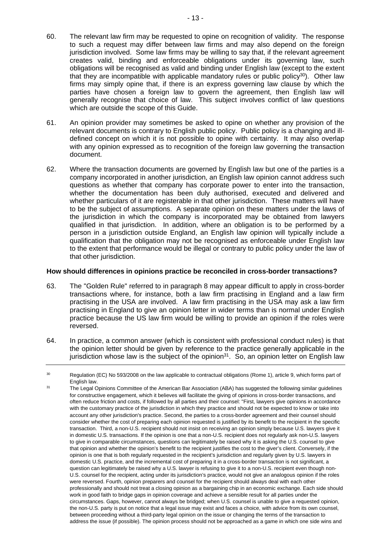- 60. The relevant law firm may be requested to opine on recognition of validity. The response to such a request may differ between law firms and may also depend on the foreign jurisdiction involved. Some law firms may be willing to say that, if the relevant agreement creates valid, binding and enforceable obligations under its governing law, such obligations will be recognised as valid and binding under English law (except to the extent that they are incompatible with applicable mandatory rules or public policy $30$ ). Other law firms may simply opine that, if there is an express governing law clause by which the parties have chosen a foreign law to govern the agreement, then English law will generally recognise that choice of law. This subject involves conflict of law questions which are outside the scope of this Guide.
- 61. An opinion provider may sometimes be asked to opine on whether any provision of the relevant documents is contrary to English public policy. Public policy is a changing and illdefined concept on which it is not possible to opine with certainty. It may also overlap with any opinion expressed as to recognition of the foreign law governing the transaction document.
- 62. Where the transaction documents are governed by English law but one of the parties is a company incorporated in another jurisdiction, an English law opinion cannot address such questions as whether that company has corporate power to enter into the transaction, whether the documentation has been duly authorised, executed and delivered and whether particulars of it are registerable in that other jurisdiction. These matters will have to be the subject of assumptions. A separate opinion on these matters under the laws of the jurisdiction in which the company is incorporated may be obtained from lawyers qualified in that jurisdiction. In addition, where an obligation is to be performed by a person in a jurisdiction outside England, an English law opinion will typically include a qualification that the obligation may not be recognised as enforceable under English law to the extent that performance would be illegal or contrary to public policy under the law of that other jurisdiction.

#### **How should differences in opinions practice be reconciled in cross-border transactions?**

- 63. The "Golden Rule" referred to in paragraph [8](#page-1-6) may appear difficult to apply in cross-border transactions where, for instance, both a law firm practising in England and a law firm practising in the USA are involved. A law firm practising in the USA may ask a law firm practising in England to give an opinion letter in wider terms than is normal under English practice because the US law firm would be willing to provide an opinion if the roles were reversed.
- 64. In practice, a common answer (which is consistent with professional conduct rules) is that the opinion letter should be given by reference to the practice generally applicable in the jurisdiction whose law is the subject of the opinion $31$ . So, an opinion letter on English law

<span id="page-12-0"></span><sup>&</sup>lt;sup>30</sup> Regulation (EC) No 593/2008 on the law applicable to contractual obligations (Rome 1), article 9, which forms part of English law.

<span id="page-12-1"></span>The Legal Opinions Committee of the American Bar Association (ABA) has suggested the following similar guidelines for constructive engagement, which it believes will facilitate the giving of opinions in cross-border transactions, and often reduce friction and costs, if followed by all parties and their counsel: "First, lawyers give opinions in accordance with the customary practice of the jurisdiction in which they practice and should not be expected to know or take into account any other jurisdiction's practice. Second, the parties to a cross-border agreement and their counsel should consider whether the cost of preparing each opinion requested is justified by its benefit to the recipient in the specific transaction. Third, a non-U.S. recipient should not insist on receiving an opinion simply because U.S. lawyers give it in domestic U.S. transactions. If the opinion is one that a non-U.S. recipient does not regularly ask non-U.S. lawyers to give in comparable circumstances, questions can legitimately be raised why it is asking the U.S. counsel to give that opinion and whether the opinion's benefit to the recipient justifies the cost to the giver's client. Conversely, if the opinion is one that is both regularly requested in the recipient's jurisdiction and regularly given by U.S. lawyers in domestic U.S. practice, and the incremental cost of preparing it in a cross-border transaction is not significant, a question can legitimately be raised why a U.S. lawyer is refusing to give it to a non-U.S. recipient even though non-U.S. counsel for the recipient, acting under its jurisdiction's practice, would not give an analogous opinion if the roles were reversed. Fourth, opinion preparers and counsel for the recipient should always deal with each other professionally and should not treat a closing opinion as a bargaining chip in an economic exchange. Each side should work in good faith to bridge gaps in opinion coverage and achieve a sensible result for all parties under the circumstances. Gaps, however, cannot always be bridged; when U.S. counsel is unable to give a requested opinion, the non-U.S. party is put on notice that a legal issue may exist and faces a choice, with advice from its own counsel, between proceeding without a third-party legal opinion on the issue or changing the terms of the transaction to address the issue (if possible). The opinion process should not be approached as a game in which one side wins and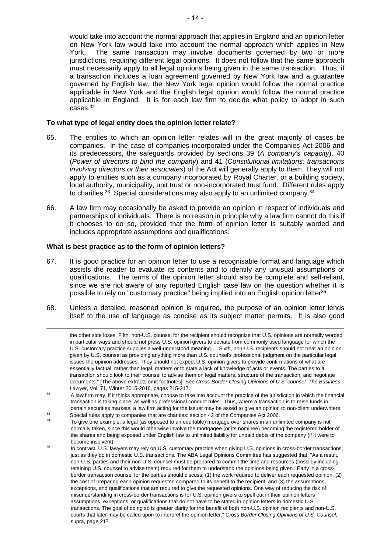would take into account the normal approach that applies in England and an opinion letter on New York law would take into account the normal approach which applies in New York. The same transaction may involve documents governed by two or more jurisdictions, requiring different legal opinions. It does not follow that the same approach must necessarily apply to all legal opinions being given in the same transaction. Thus, if a transaction includes a loan agreement governed by New York law and a guarantee governed by English law, the New York legal opinion would follow the normal practice applicable in New York and the English legal opinion would follow the normal practice applicable in England. It is for each law firm to decide what policy to adopt in such cases.[32](#page-13-0)

#### **To what type of legal entity does the opinion letter relate?**

- 65. The entities to which an opinion letter relates will in the great majority of cases be companies. In the case of companies incorporated under the Companies Act 2006 and its predecessors, the safeguards provided by sections 39 (*A company's capacity*), 40 (*Power of directors to bind the company*) and 41 (*Constitutional limitations: transactions involving directors or their associates*) of the Act will generally apply to them. They will not apply to entities such as a company incorporated by Royal Charter, or a building society, local authority, municipality, unit trust or non-incorporated trust fund. Different rules apply to charities.<sup>[33](#page-13-1)</sup> Special considerations may also apply to an unlimited company.<sup>[34](#page-13-2)</sup>
- 66. A law firm may occasionally be asked to provide an opinion in respect of individuals and partnerships of individuals. There is no reason in principle why a law firm cannot do this if it chooses to do so, provided that the form of opinion letter is suitably worded and includes appropriate assumptions and qualifications.

# **What is best practice as to the form of opinion letters?**

- 67. It is good practice for an opinion letter to use a recognisable format and language which assists the reader to evaluate its contents and to identify any unusual assumptions or qualifications. The terms of the opinion letter should also be complete and self-reliant, since we are not aware of any reported English case law on the question whether it is possible to rely on "customary practice" being implied into an English opinion letter<sup>[35](#page-13-3)</sup>.
- 68. Unless a detailed, reasoned opinion is required, the purpose of an opinion letter lends itself to the use of language as concise as its subject matter permits. It is also good

- To give one example, a legal (as opposed to an equitable) mortgage over shares in an unlimited company is not normally taken, since this would otherwise involve the mortgagee (or its nominee) becoming the registered holder of the shares and being exposed under English law to unlimited liability for unpaid debts of the company (if it were to become insolvent).
- <span id="page-13-3"></span><sup>35</sup> In contrast, U.S. lawyers may rely on U.S. customary practice when giving U.S. opinions in cross-border transactions, just as they do in domestic U.S. transactions. The ABA Legal Opinions Committee has suggested that: "As a result, non-U.S. parties and their non-U.S. counsel must be prepared to commit the time and resources (possibly including retaining U.S. counsel to advise them) required for them to understand the opinions being given. Early in a crossborder transaction counsel for the parties should discuss: (1) the work required to deliver each requested opinion, (2) the cost of preparing each opinion requested compared to its benefit to the recipient, and (3) the assumptions, exceptions, and qualifications that are required to give the requested opinions. One way of reducing the risk of misunderstanding in cross-border transactions is for U.S. opinion givers to spell out in their opinion letters assumptions, exceptions, or qualifications that do not have to be stated in opinion letters in domestic U.S. transactions. The goal of doing so is greater clarity for the benefit of both non-U.S. opinion recipients and non-U.S. courts that later may be called upon to interpret the opinion letter." *Cross Border Closing Opinions of U.S. Counsel,*  supra, page 217.

the other side loses. Fifth, non-U.S. counsel for the recipient should recognize that U.S. opinions are normally worded in particular ways and should not press U.S. opinion givers to deviate from commonly used language for which the U.S. customary practice supplies a well-understood meaning… Sixth, non-U.S. recipients should not treat an opinion given by U.S. counsel as providing anything more than U.S. counsel's professional judgment on the particular legal issues the opinion addresses. They should not expect U.S. opinion givers to provide confirmations of what are essentially factual, rather than legal, matters or to state a lack of knowledge of acts or events. The parties to a transaction should look to their counsel to advise them on legal matters, structure of the transaction, and negotiate documents." [The above extracts omit footnotes]. See *Cross-Border Closing Opinions of U.S. counsel, The Business Lawyer*, Vol. 71, Winter 2015-2016, pages 215-217.

<span id="page-13-0"></span><sup>&</sup>lt;sup>32</sup> A law firm may, if it thinks appropriate, choose to take into account the practice of the jurisdiction in which the financial transaction is taking place, as well as professional conduct rules. Thus, where a transaction is to raise funds in certain securities markets, a law firm acting for the issuer may be asked to give an opinion to non-client underwriters.

<span id="page-13-2"></span><span id="page-13-1"></span><sup>33</sup> Special rules apply to companies that are charities: section 42 of the Companies Act 2006.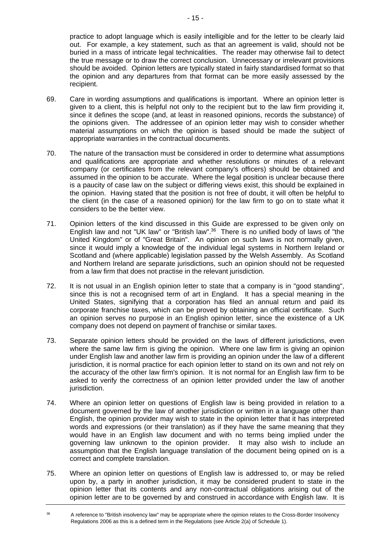practice to adopt language which is easily intelligible and for the letter to be clearly laid out. For example, a key statement, such as that an agreement is valid, should not be buried in a mass of intricate legal technicalities. The reader may otherwise fail to detect the true message or to draw the correct conclusion. Unnecessary or irrelevant provisions should be avoided. Opinion letters are typically stated in fairly standardised format so that the opinion and any departures from that format can be more easily assessed by the recipient.

- 69. Care in wording assumptions and qualifications is important. Where an opinion letter is given to a client, this is helpful not only to the recipient but to the law firm providing it, since it defines the scope (and, at least in reasoned opinions, records the substance) of the opinions given. The addressee of an opinion letter may wish to consider whether material assumptions on which the opinion is based should be made the subject of appropriate warranties in the contractual documents.
- 70. The nature of the transaction must be considered in order to determine what assumptions and qualifications are appropriate and whether resolutions or minutes of a relevant company (or certificates from the relevant company's officers) should be obtained and assumed in the opinion to be accurate. Where the legal position is unclear because there is a paucity of case law on the subject or differing views exist, this should be explained in the opinion. Having stated that the position is not free of doubt, it will often be helpful to the client (in the case of a reasoned opinion) for the law firm to go on to state what it considers to be the better view.
- 71. Opinion letters of the kind discussed in this Guide are expressed to be given only on English law and not "UK law" or "British law".[36](#page-14-0) There is no unified body of laws of "the United Kingdom" or of "Great Britain". An opinion on such laws is not normally given, since it would imply a knowledge of the individual legal systems in Northern Ireland or Scotland and (where applicable) legislation passed by the Welsh Assembly. As Scotland and Northern Ireland are separate jurisdictions, such an opinion should not be requested from a law firm that does not practise in the relevant jurisdiction.
- 72. It is not usual in an English opinion letter to state that a company is in "good standing", since this is not a recognised term of art in England. It has a special meaning in the United States, signifying that a corporation has filed an annual return and paid its corporate franchise taxes, which can be proved by obtaining an official certificate. Such an opinion serves no purpose in an English opinion letter, since the existence of a UK company does not depend on payment of franchise or similar taxes.
- 73. Separate opinion letters should be provided on the laws of different jurisdictions, even where the same law firm is giving the opinion. Where one law firm is giving an opinion under English law and another law firm is providing an opinion under the law of a different jurisdiction, it is normal practice for each opinion letter to stand on its own and not rely on the accuracy of the other law firm's opinion. It is not normal for an English law firm to be asked to verify the correctness of an opinion letter provided under the law of another jurisdiction.
- 74. Where an opinion letter on questions of English law is being provided in relation to a document governed by the law of another jurisdiction or written in a language other than English, the opinion provider may wish to state in the opinion letter that it has interpreted words and expressions (or their translation) as if they have the same meaning that they would have in an English law document and with no terms being implied under the governing law unknown to the opinion provider. It may also wish to include an assumption that the English language translation of the document being opined on is a correct and complete translation.
- 75. Where an opinion letter on questions of English law is addressed to, or may be relied upon by, a party in another jurisdiction, it may be considered prudent to state in the opinion letter that its contents and any non-contractual obligations arising out of the opinion letter are to be governed by and construed in accordance with English law. It is

<span id="page-14-0"></span><sup>&</sup>lt;sup>36</sup> A reference to "British insolvency law" may be appropriate where the opinion relates to the Cross-Border Insolvency Regulations 2006 as this is a defined term in the Regulations (see Article 2(a) of Schedule 1).